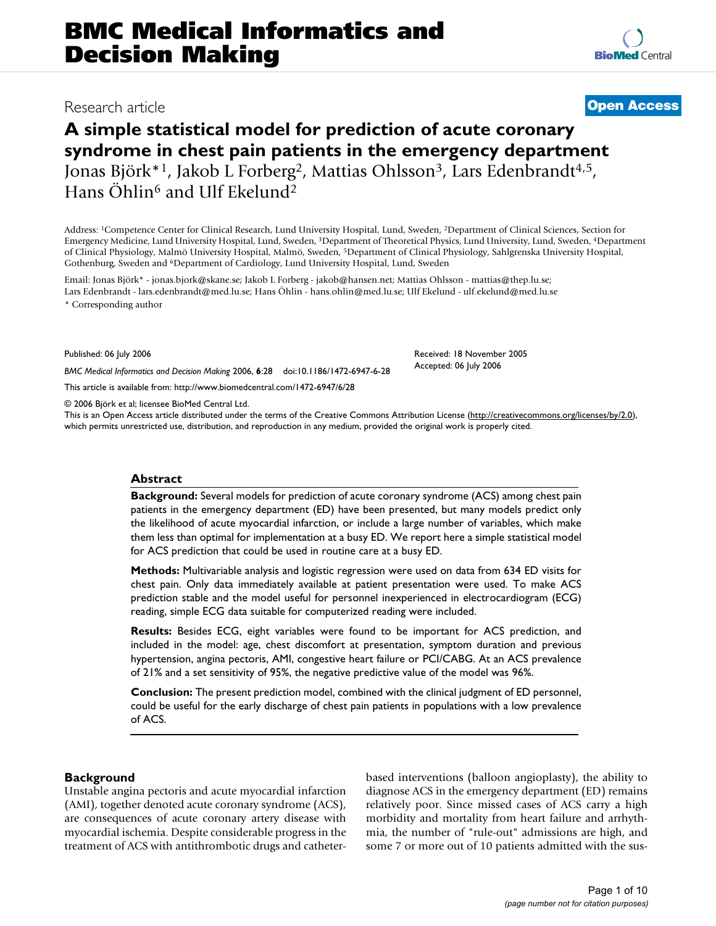# **A simple statistical model for prediction of acute coronary syndrome in chest pain patients in the emergency department** Jonas Björk\*<sup>1</sup>, Jakob L Forberg<sup>2</sup>, Mattias Ohlsson<sup>3</sup>, Lars Edenbrandt<sup>4,5</sup>, Hans Öhlin<sup>6</sup> and Ulf Ekelund<sup>2</sup>

Address: 1Competence Center for Clinical Research, Lund University Hospital, Lund, Sweden, 2Department of Clinical Sciences, Section for Emergency Medicine, Lund University Hospital, Lund, Sweden, 3Department of Theoretical Physics, Lund University, Lund, Sweden, 4Department of Clinical Physiology, Malmö University Hospital, Malmö, Sweden, 5Department of Clinical Physiology, Sahlgrenska University Hospital, Gothenburg, Sweden and 6Department of Cardiology, Lund University Hospital, Lund, Sweden

Email: Jonas Björk\* - jonas.bjork@skane.se; Jakob L Forberg - jakob@hansen.net; Mattias Ohlsson - mattias@thep.lu.se; Lars Edenbrandt - lars.edenbrandt@med.lu.se; Hans Öhlin - hans.ohlin@med.lu.se; Ulf Ekelund - ulf.ekelund@med.lu.se \* Corresponding author

Published: 06 July 2006

*BMC Medical Informatics and Decision Making* 2006, **6**:28 doi:10.1186/1472-6947-6-28

[This article is available from: http://www.biomedcentral.com/1472-6947/6/28](http://www.biomedcentral.com/1472-6947/6/28)

© 2006 Björk et al; licensee BioMed Central Ltd.

This is an Open Access article distributed under the terms of the Creative Commons Attribution License [\(http://creativecommons.org/licenses/by/2.0\)](http://creativecommons.org/licenses/by/2.0), which permits unrestricted use, distribution, and reproduction in any medium, provided the original work is properly cited.

# **Abstract**

**Background:** Several models for prediction of acute coronary syndrome (ACS) among chest pain patients in the emergency department (ED) have been presented, but many models predict only the likelihood of acute myocardial infarction, or include a large number of variables, which make them less than optimal for implementation at a busy ED. We report here a simple statistical model for ACS prediction that could be used in routine care at a busy ED.

**Methods:** Multivariable analysis and logistic regression were used on data from 634 ED visits for chest pain. Only data immediately available at patient presentation were used. To make ACS prediction stable and the model useful for personnel inexperienced in electrocardiogram (ECG) reading, simple ECG data suitable for computerized reading were included.

**Results:** Besides ECG, eight variables were found to be important for ACS prediction, and included in the model: age, chest discomfort at presentation, symptom duration and previous hypertension, angina pectoris, AMI, congestive heart failure or PCI/CABG. At an ACS prevalence of 21% and a set sensitivity of 95%, the negative predictive value of the model was 96%.

**Conclusion:** The present prediction model, combined with the clinical judgment of ED personnel, could be useful for the early discharge of chest pain patients in populations with a low prevalence of ACS.

# **Background**

Unstable angina pectoris and acute myocardial infarction (AMI), together denoted acute coronary syndrome (ACS), are consequences of acute coronary artery disease with myocardial ischemia. Despite considerable progress in the treatment of ACS with antithrombotic drugs and catheterbased interventions (balloon angioplasty), the ability to diagnose ACS in the emergency department (ED) remains relatively poor. Since missed cases of ACS carry a high morbidity and mortality from heart failure and arrhythmia, the number of "rule-out" admissions are high, and some 7 or more out of 10 patients admitted with the sus-

Received: 18 November 2005 Accepted: 06 July 2006

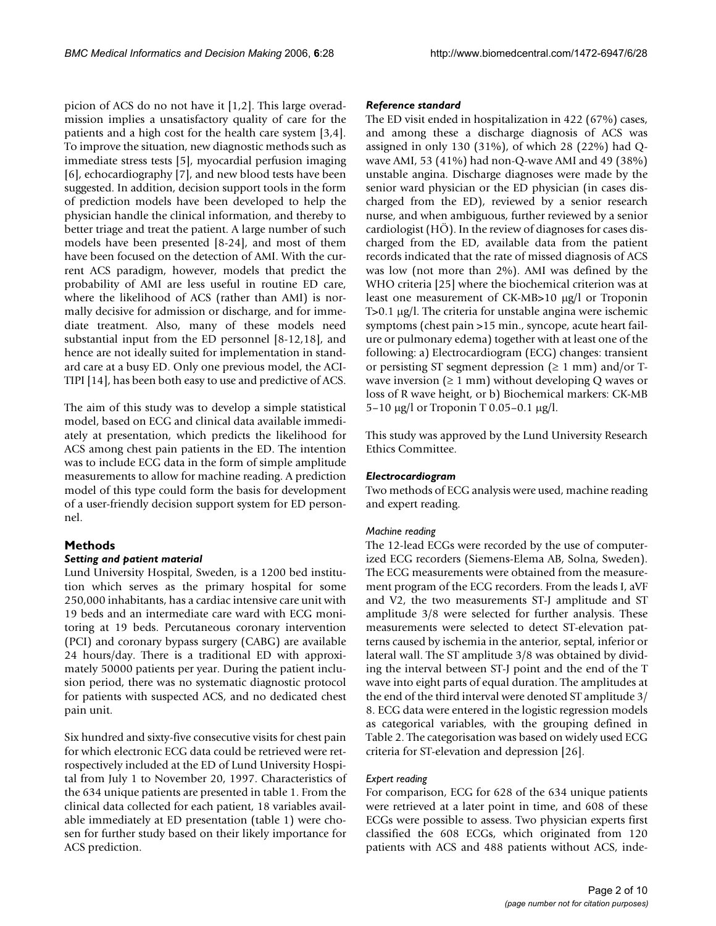picion of ACS do no not have it [1,2]. This large overadmission implies a unsatisfactory quality of care for the patients and a high cost for the health care system [3,4]. To improve the situation, new diagnostic methods such as immediate stress tests [5], myocardial perfusion imaging [6], echocardiography [7], and new blood tests have been suggested. In addition, decision support tools in the form of prediction models have been developed to help the physician handle the clinical information, and thereby to better triage and treat the patient. A large number of such models have been presented [8-24], and most of them have been focused on the detection of AMI. With the current ACS paradigm, however, models that predict the probability of AMI are less useful in routine ED care, where the likelihood of ACS (rather than AMI) is normally decisive for admission or discharge, and for immediate treatment. Also, many of these models need substantial input from the ED personnel [8-12,18], and hence are not ideally suited for implementation in standard care at a busy ED. Only one previous model, the ACI-TIPI [14], has been both easy to use and predictive of ACS.

The aim of this study was to develop a simple statistical model, based on ECG and clinical data available immediately at presentation, which predicts the likelihood for ACS among chest pain patients in the ED. The intention was to include ECG data in the form of simple amplitude measurements to allow for machine reading. A prediction model of this type could form the basis for development of a user-friendly decision support system for ED personnel.

# **Methods**

# *Setting and patient material*

Lund University Hospital, Sweden, is a 1200 bed institution which serves as the primary hospital for some 250,000 inhabitants, has a cardiac intensive care unit with 19 beds and an intermediate care ward with ECG monitoring at 19 beds. Percutaneous coronary intervention (PCI) and coronary bypass surgery (CABG) are available 24 hours/day. There is a traditional ED with approximately 50000 patients per year. During the patient inclusion period, there was no systematic diagnostic protocol for patients with suspected ACS, and no dedicated chest pain unit.

Six hundred and sixty-five consecutive visits for chest pain for which electronic ECG data could be retrieved were retrospectively included at the ED of Lund University Hospital from July 1 to November 20, 1997. Characteristics of the 634 unique patients are presented in table 1. From the clinical data collected for each patient, 18 variables available immediately at ED presentation (table 1) were chosen for further study based on their likely importance for ACS prediction.

# *Reference standard*

The ED visit ended in hospitalization in 422 (67%) cases, and among these a discharge diagnosis of ACS was assigned in only 130 (31%), of which 28 (22%) had Qwave AMI, 53 (41%) had non-Q-wave AMI and 49 (38%) unstable angina. Discharge diagnoses were made by the senior ward physician or the ED physician (in cases discharged from the ED), reviewed by a senior research nurse, and when ambiguous, further reviewed by a senior cardiologist (HÖ). In the review of diagnoses for cases discharged from the ED, available data from the patient records indicated that the rate of missed diagnosis of ACS was low (not more than 2%). AMI was defined by the WHO criteria [25] where the biochemical criterion was at least one measurement of CK-MB>10 μg/l or Troponin T>0.1 μg/l. The criteria for unstable angina were ischemic symptoms (chest pain >15 min., syncope, acute heart failure or pulmonary edema) together with at least one of the following: a) Electrocardiogram (ECG) changes: transient or persisting ST segment depression ( $\geq 1$  mm) and/or Twave inversion ( $\geq 1$  mm) without developing Q waves or loss of R wave height, or b) Biochemical markers: CK-MB 5–10 μg/l or Troponin T 0.05–0.1 μg/l.

This study was approved by the Lund University Research Ethics Committee.

# *Electrocardiogram*

Two methods of ECG analysis were used, machine reading and expert reading.

# *Machine reading*

The 12-lead ECGs were recorded by the use of computerized ECG recorders (Siemens-Elema AB, Solna, Sweden). The ECG measurements were obtained from the measurement program of the ECG recorders. From the leads I, aVF and V2, the two measurements ST-J amplitude and ST amplitude 3/8 were selected for further analysis. These measurements were selected to detect ST-elevation patterns caused by ischemia in the anterior, septal, inferior or lateral wall. The ST amplitude 3/8 was obtained by dividing the interval between ST-J point and the end of the T wave into eight parts of equal duration. The amplitudes at the end of the third interval were denoted ST amplitude 3/ 8. ECG data were entered in the logistic regression models as categorical variables, with the grouping defined in Table 2. The categorisation was based on widely used ECG criteria for ST-elevation and depression [26].

# *Expert reading*

For comparison, ECG for 628 of the 634 unique patients were retrieved at a later point in time, and 608 of these ECGs were possible to assess. Two physician experts first classified the 608 ECGs, which originated from 120 patients with ACS and 488 patients without ACS, inde-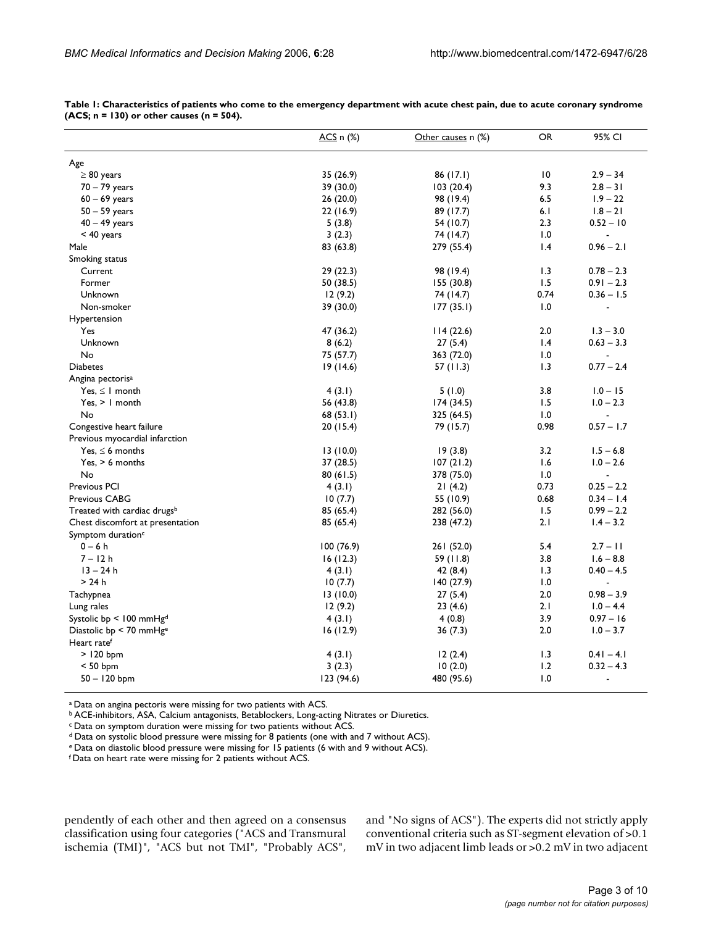|                                       | ACS n (%)  | Other causes n (%) | OR   | 95% CI                       |
|---------------------------------------|------------|--------------------|------|------------------------------|
| Age                                   |            |                    |      |                              |
| $\geq 80$ years                       | 35 (26.9)  | 86 (17.1)          | 10   | $2.9 - 34$                   |
| $70 - 79$ years                       | 39 (30.0)  | 103(20.4)          | 9.3  | $2.8 - 31$                   |
| $60 - 69$ years                       | 26 (20.0)  | 98 (19.4)          | 6.5  | $1.9 - 22$                   |
| $50 - 59$ years                       | 22 (16.9)  | 89 (17.7)          | 6.1  | $1.8 - 21$                   |
| $40 - 49$ years                       | 5(3.8)     | 54 (10.7)          | 2.3  | $0.52 - 10$                  |
| $< 40$ years                          | 3(2.3)     | 74 (14.7)          | 1.0  | $\qquad \qquad \blacksquare$ |
| Male                                  | 83 (63.8)  | 279 (55.4)         | 1.4  | $0.96 - 2.1$                 |
| Smoking status                        |            |                    |      |                              |
| Current                               | 29 (22.3)  | 98 (19.4)          | 1.3  | $0.78 - 2.3$                 |
| Former                                | 50 (38.5)  | 155(30.8)          | 1.5  | $0.91 - 2.3$                 |
| Unknown                               | 12(9.2)    | 74 (14.7)          | 0.74 | $0.36 - 1.5$                 |
| Non-smoker                            | 39 (30.0)  | 177(35.1)          | 1.0  | $\blacksquare$               |
| Hypertension                          |            |                    |      |                              |
| Yes                                   | 47 (36.2)  | 114(22.6)          | 2.0  | $1.3 - 3.0$                  |
| Unknown                               | 8(6.2)     | 27(5.4)            | 1.4  | $0.63 - 3.3$                 |
| No                                    | 75 (57.7)  | 363 (72.0)         | 1.0  | $\overline{\phantom{a}}$     |
| <b>Diabetes</b>                       | 19(14.6)   | 57 (11.3)          | 1.3  | $0.77 - 2.4$                 |
| Angina pectoris <sup>a</sup>          |            |                    |      |                              |
| Yes, $\leq$ 1 month                   | 4(3.1)     | 5(1.0)             | 3.8  | $1.0 - 15$                   |
| Yes. > I month                        | 56 (43.8)  | 174(34.5)          | 1.5  | $1.0 - 2.3$                  |
| No                                    | 68 (53.I)  | 325 (64.5)         | 1.0  | $\qquad \qquad \blacksquare$ |
| Congestive heart failure              | 20 (15.4)  | 79 (15.7)          | 0.98 | $0.57 - 1.7$                 |
| Previous myocardial infarction        |            |                    |      |                              |
| Yes, $\leq 6$ months                  | 13(10.0)   | 19(3.8)            | 3.2  | $1.5 - 6.8$                  |
| Yes, $> 6$ months                     | 37 (28.5)  | 107(21.2)          | 1.6  | $1.0 - 2.6$                  |
| No                                    | 80(61.5)   | 378 (75.0)         | 1.0  | $\blacksquare$               |
| Previous PCI                          | 4(3.1)     | 21(4.2)            | 0.73 | $0.25 - 2.2$                 |
| Previous CABG                         | 10(7.7)    | 55 (10.9)          | 0.68 | $0.34 - 1.4$                 |
| Treated with cardiac drugsb           | 85 (65.4)  | 282 (56.0)         | 1.5  | $0.99 - 2.2$                 |
| Chest discomfort at presentation      | 85 (65.4)  | 238 (47.2)         | 2.1  | $1.4 - 3.2$                  |
| Symptom duration <sup>c</sup>         |            |                    |      |                              |
| $0 - 6 h$                             | 100(76.9)  | 261 (52.0)         | 5.4  | $2.7 - 11$                   |
| $7 - 12h$                             | 16(12.3)   | 59 (11.8)          | 3.8  | $1.6 - 8.8$                  |
| $13 - 24 h$                           | 4(3.1)     | 42 (8.4)           | 1.3  | $0.40 - 4.5$                 |
| >24 h                                 | 10(7.7)    | 140 (27.9)         | 1.0  | $\blacksquare$               |
| Tachypnea                             | 13(10.0)   | 27(5.4)            | 2.0  | $0.98 - 3.9$                 |
| Lung rales                            | 12(9.2)    | 23 (4.6)           | 2.1  | $1.0 - 4.4$                  |
| Systolic bp < $100$ mmHg <sup>d</sup> | 4(3.1)     | 4(0.8)             | 3.9  | $0.97 - 16$                  |
| Diastolic bp < 70 mmHge               | 16(12.9)   | 36 (7.3)           | 2.0  | $1.0 - 3.7$                  |
| Heart rate <sup>f</sup>               |            |                    |      |                              |
| $> 120$ bpm                           | 4(3.1)     | 12(2.4)            | 1.3  | $0.41 - 4.1$                 |
| $< 50$ bpm                            | 3(2.3)     | 10(2.0)            | 1.2  | $0.32 - 4.3$                 |
| $50 - 120$ bpm                        | 123 (94.6) | 480 (95.6)         | 1.0  | $\blacksquare$               |

**Table 1: Characteristics of patients who come to the emergency department with acute chest pain, due to acute coronary syndrome (ACS; n = 130) or other causes (n = 504).**

a Data on angina pectoris were missing for two patients with ACS.

b ACE-inhibitors, ASA, Calcium antagonists, Betablockers, Long-acting Nitrates or Diuretics.

c Data on symptom duration were missing for two patients without ACS.

d Data on systolic blood pressure were missing for 8 patients (one with and 7 without ACS).

e Data on diastolic blood pressure were missing for 15 patients (6 with and 9 without ACS).

f Data on heart rate were missing for 2 patients without ACS.

pendently of each other and then agreed on a consensus classification using four categories ("ACS and Transmural ischemia (TMI)", "ACS but not TMI", "Probably ACS", and "No signs of ACS"). The experts did not strictly apply conventional criteria such as ST-segment elevation of >0.1 mV in two adjacent limb leads or >0.2 mV in two adjacent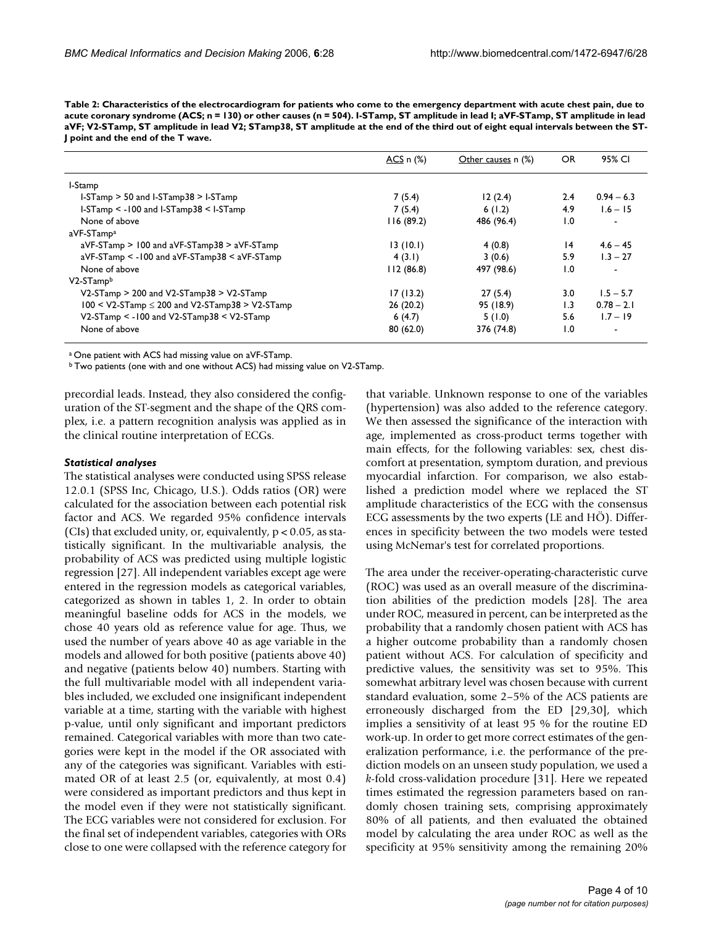| Table 2: Characteristics of the electrocardiogram for patients who come to the emergency department with acute chest pain, due to  |
|------------------------------------------------------------------------------------------------------------------------------------|
| acute coronary syndrome (ACS; n = 130) or other causes (n = 504). I-STamp, ST amplitude in lead I; aVF-STamp, ST amplitude in lead |
| aVF; V2-STamp, ST amplitude in lead V2; STamp38, ST amplitude at the end of the third out of eight equal intervals between the ST- |
| I point and the end of the T wave.                                                                                                 |

|                                                               | <u>ACS</u> n (%) | Other causes n (%) | <b>OR</b>       | 95% CI                   |
|---------------------------------------------------------------|------------------|--------------------|-----------------|--------------------------|
| I-Stamp                                                       |                  |                    |                 |                          |
| I-STamp > 50 and I-STamp38 > I-STamp                          | 7(5.4)           | 12(2.4)            | 2.4             | $0.94 - 6.3$             |
| I-STamp < -100 and I-STamp38 < I-STamp                        | 7(5.4)           | 6(1.2)             | 4.9             | $1.6 - 15$               |
| None of above                                                 | 116(89.2)        | 486 (96.4)         | 1.0             | $\blacksquare$           |
| aVF-STamp <sup>a</sup>                                        |                  |                    |                 |                          |
| $aVF-STamp > 100$ and $aVF-STamp38 > aVF-STamp$               | 13(10.1)         | 4(0.8)             | $\overline{14}$ | $4.6 - 45$               |
| $aVF-STamp < -100$ and $aVF-STamp38 < aVF-STamp$              | 4(3.1)           | 3(0.6)             | 5.9             | $1.3 - 27$               |
| None of above                                                 | 112(86.8)        | 497 (98.6)         | 1.0             | ۰                        |
| V2-STampb                                                     |                  |                    |                 |                          |
| $V2-STamp > 200$ and $V2-STamp38 > V2-STamp$                  | 17(13.2)         | 27(5.4)            | 3.0             | $1.5 - 5.7$              |
| $100 \leq V2\text{-}STamp \leq 200$ and V2-STamp38 > V2-STamp | 26(20.2)         | 95 (18.9)          | l.3             | $0.78 - 2.1$             |
| $V2-STamp < -100$ and $V2-STamp38 < V2-STamp$                 | 6(4.7)           | 5(1.0)             | 5.6             | $1.7 - 19$               |
| None of above                                                 | 80(62.0)         | 376 (74.8)         | 1.0             | $\overline{\phantom{a}}$ |

a One patient with ACS had missing value on aVF-STamp.

<sup>b</sup> Two patients (one with and one without ACS) had missing value on V2-STamp.

precordial leads. Instead, they also considered the configuration of the ST-segment and the shape of the QRS complex, i.e. a pattern recognition analysis was applied as in the clinical routine interpretation of ECGs.

#### *Statistical analyses*

The statistical analyses were conducted using SPSS release 12.0.1 (SPSS Inc, Chicago, U.S.). Odds ratios (OR) were calculated for the association between each potential risk factor and ACS. We regarded 95% confidence intervals (CIs) that excluded unity, or, equivalently,  $p < 0.05$ , as statistically significant. In the multivariable analysis, the probability of ACS was predicted using multiple logistic regression [27]. All independent variables except age were entered in the regression models as categorical variables, categorized as shown in tables 1, 2. In order to obtain meaningful baseline odds for ACS in the models, we chose 40 years old as reference value for age. Thus, we used the number of years above 40 as age variable in the models and allowed for both positive (patients above 40) and negative (patients below 40) numbers. Starting with the full multivariable model with all independent variables included, we excluded one insignificant independent variable at a time, starting with the variable with highest p-value, until only significant and important predictors remained. Categorical variables with more than two categories were kept in the model if the OR associated with any of the categories was significant. Variables with estimated OR of at least 2.5 (or, equivalently, at most 0.4) were considered as important predictors and thus kept in the model even if they were not statistically significant. The ECG variables were not considered for exclusion. For the final set of independent variables, categories with ORs close to one were collapsed with the reference category for that variable. Unknown response to one of the variables (hypertension) was also added to the reference category. We then assessed the significance of the interaction with age, implemented as cross-product terms together with main effects, for the following variables: sex, chest discomfort at presentation, symptom duration, and previous myocardial infarction. For comparison, we also established a prediction model where we replaced the ST amplitude characteristics of the ECG with the consensus ECG assessments by the two experts (LE and HÖ). Differences in specificity between the two models were tested using McNemar's test for correlated proportions.

The area under the receiver-operating-characteristic curve (ROC) was used as an overall measure of the discrimination abilities of the prediction models [28]. The area under ROC, measured in percent, can be interpreted as the probability that a randomly chosen patient with ACS has a higher outcome probability than a randomly chosen patient without ACS. For calculation of specificity and predictive values, the sensitivity was set to 95%. This somewhat arbitrary level was chosen because with current standard evaluation, some 2–5% of the ACS patients are erroneously discharged from the ED [29,30], which implies a sensitivity of at least 95 % for the routine ED work-up. In order to get more correct estimates of the generalization performance, i.e. the performance of the prediction models on an unseen study population, we used a *k*-fold cross-validation procedure [31]. Here we repeated times estimated the regression parameters based on randomly chosen training sets, comprising approximately 80% of all patients, and then evaluated the obtained model by calculating the area under ROC as well as the specificity at 95% sensitivity among the remaining 20%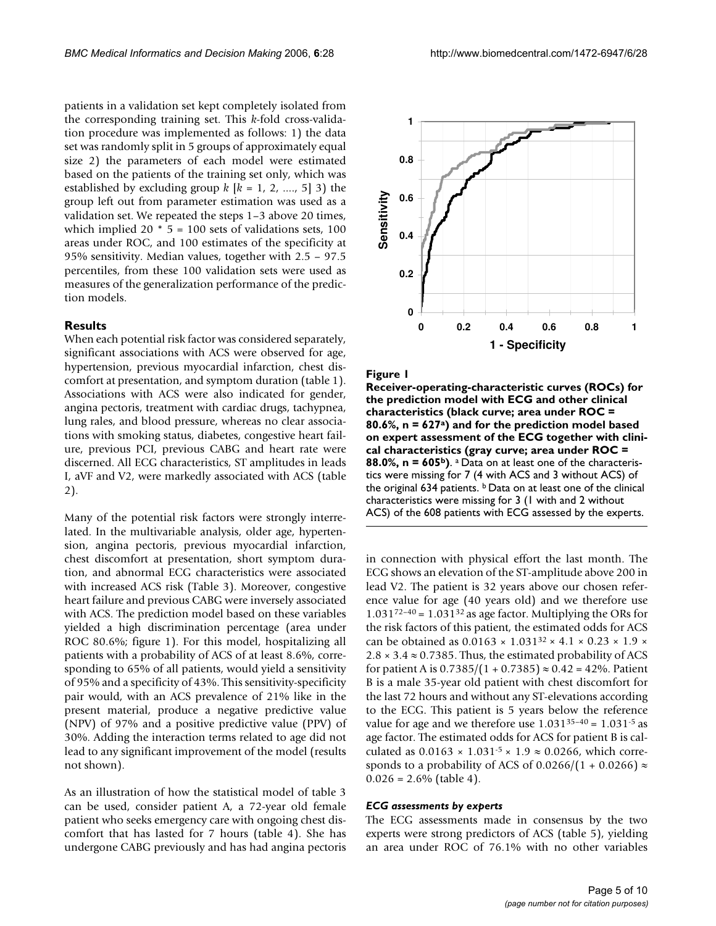patients in a validation set kept completely isolated from the corresponding training set. This *k*-fold cross-validation procedure was implemented as follows: 1) the data set was randomly split in 5 groups of approximately equal size 2) the parameters of each model were estimated based on the patients of the training set only, which was established by excluding group  $k$   $[k = 1, 2, ..., 5]$  3) the group left out from parameter estimation was used as a validation set. We repeated the steps 1–3 above 20 times, which implied 20  $*$  5 = 100 sets of validations sets, 100 areas under ROC, and 100 estimates of the specificity at 95% sensitivity. Median values, together with 2.5 – 97.5 percentiles, from these 100 validation sets were used as measures of the generalization performance of the prediction models.

#### **Results**

When each potential risk factor was considered separately, significant associations with ACS were observed for age, hypertension, previous myocardial infarction, chest discomfort at presentation, and symptom duration (table 1). Associations with ACS were also indicated for gender, angina pectoris, treatment with cardiac drugs, tachypnea, lung rales, and blood pressure, whereas no clear associations with smoking status, diabetes, congestive heart failure, previous PCI, previous CABG and heart rate were discerned. All ECG characteristics, ST amplitudes in leads I, aVF and V2, were markedly associated with ACS (table 2).

Many of the potential risk factors were strongly interrelated. In the multivariable analysis, older age, hypertension, angina pectoris, previous myocardial infarction, chest discomfort at presentation, short symptom duration, and abnormal ECG characteristics were associated with increased ACS risk (Table 3). Moreover, congestive heart failure and previous CABG were inversely associated with ACS. The prediction model based on these variables yielded a high discrimination percentage (area under ROC 80.6%; figure 1). For this model, hospitalizing all patients with a probability of ACS of at least 8.6%, corresponding to 65% of all patients, would yield a sensitivity of 95% and a specificity of 43%. This sensitivity-specificity pair would, with an ACS prevalence of 21% like in the present material, produce a negative predictive value (NPV) of 97% and a positive predictive value (PPV) of 30%. Adding the interaction terms related to age did not lead to any significant improvement of the model (results not shown).

As an illustration of how the statistical model of table 3 can be used, consider patient A, a 72-year old female patient who seeks emergency care with ongoing chest discomfort that has lasted for 7 hours (table 4). She has undergone CABG previously and has had angina pectoris



#### Figure I

**Receiver-operating-characteristic curves (ROCs) for the prediction model with ECG and other clinical characteristics (black curve; area under ROC = 80.6%, n = 627a) and for the prediction model based on expert assessment of the ECG together with clinical characteristics (gray curve; area under ROC = 88.0%, n = 605b)**. a Data on at least one of the characteristics were missing for 7 (4 with ACS and 3 without ACS) of the original 634 patients.  $\frac{b}{2}$  Data on at least one of the clinical characteristics were missing for 3 (1 with and 2 without ACS) of the 608 patients with ECG assessed by the experts.

in connection with physical effort the last month. The ECG shows an elevation of the ST-amplitude above 200 in lead V2. The patient is 32 years above our chosen reference value for age (40 years old) and we therefore use  $1.031^{72-40}$  = 1.031<sup>32</sup> as age factor. Multiplying the ORs for the risk factors of this patient, the estimated odds for ACS can be obtained as  $0.0163 \times 1.031^{32} \times 4.1 \times 0.23 \times 1.9 \times$  $2.8 \times 3.4 \approx 0.7385$ . Thus, the estimated probability of ACS for patient A is  $0.7385/(1 + 0.7385) \approx 0.42 = 42\%$ . Patient B is a male 35-year old patient with chest discomfort for the last 72 hours and without any ST-elevations according to the ECG. This patient is 5 years below the reference value for age and we therefore use  $1.031^{35-40} = 1.031^{3}$  as age factor. The estimated odds for ACS for patient B is calculated as  $0.0163 \times 1.031^{5} \times 1.9 \approx 0.0266$ , which corresponds to a probability of ACS of 0.0266/(1 + 0.0266)  $\approx$  $0.026 = 2.6\%$  (table 4).

#### *ECG assessments by experts*

The ECG assessments made in consensus by the two experts were strong predictors of ACS (table 5), yielding an area under ROC of 76.1% with no other variables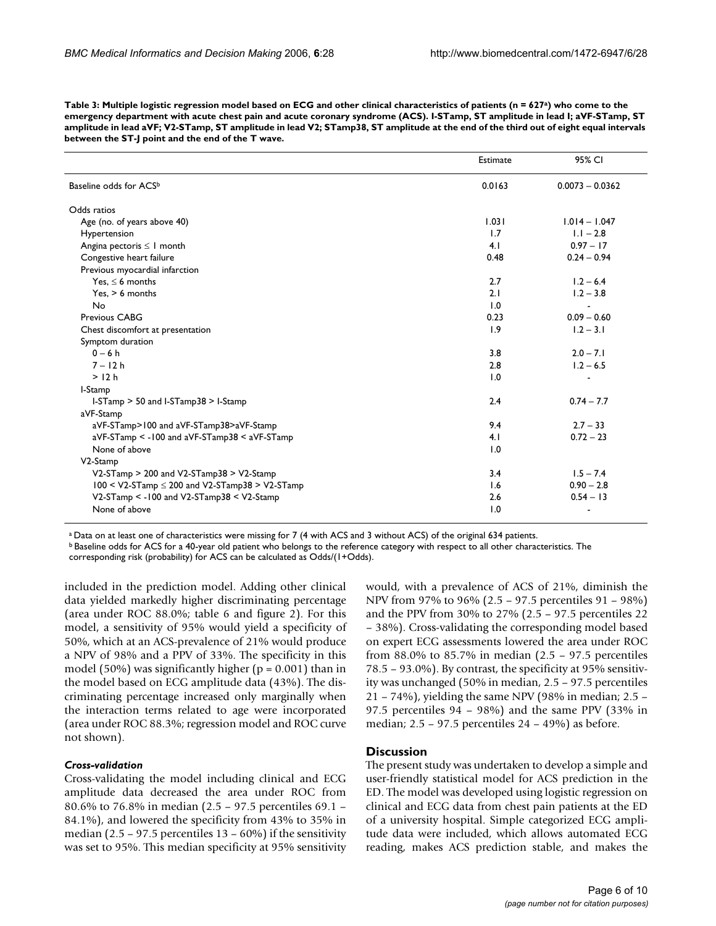|                                                        | Estimate | 95% CI                   |
|--------------------------------------------------------|----------|--------------------------|
| Baseline odds for ACS <sup>b</sup>                     | 0.0163   | $0.0073 - 0.0362$        |
| Odds ratios                                            |          |                          |
| Age (no. of years above 40)                            | 1.031    | $1.014 - 1.047$          |
| Hypertension                                           | 1.7      | $1.1 - 2.8$              |
| Angina pectoris $\leq$ 1 month                         | 4.1      | $0.97 - 17$              |
| Congestive heart failure                               | 0.48     | $0.24 - 0.94$            |
| Previous myocardial infarction                         |          |                          |
| Yes, $\leq$ 6 months                                   | 2.7      | $1.2 - 6.4$              |
| Yes. > 6 months                                        | 2.1      | $1.2 - 3.8$              |
| No                                                     | 1.0      |                          |
| Previous CABG                                          | 0.23     | $0.09 - 0.60$            |
| Chest discomfort at presentation                       | 1.9      | $1.2 - 3.1$              |
| Symptom duration                                       |          |                          |
| $0 - 6 h$                                              | 3.8      | $2.0 - 7.1$              |
| $7 - 12h$                                              | 2.8      | $1.2 - 6.5$              |
| > 12 h                                                 | 1.0      |                          |
| I-Stamp                                                |          |                          |
| I-STamp > 50 and I-STamp38 > I-Stamp                   | 2.4      | $0.74 - 7.7$             |
| aVF-Stamp                                              |          |                          |
| aVF-STamp>100 and aVF-STamp38>aVF-Stamp                | 9.4      | $2.7 - 33$               |
| aVF-STamp < - 100 and aVF-STamp38 < aVF-STamp          | 4.1      | $0.72 - 23$              |
| None of above                                          | 1.0      |                          |
| V <sub>2</sub> -Stamp                                  |          |                          |
| V2-STamp > 200 and V2-STamp38 > V2-Stamp               | 3.4      | $1.5 - 7.4$              |
| $100 < V2$ -STamp $\leq 200$ and V2-STamp38 > V2-STamp | 1.6      | $0.90 - 2.8$             |
| V2-STamp < - 100 and V2-STamp38 < V2-Stamp             | 2.6      | $0.54 - 13$              |
| None of above                                          | 1.0      | $\overline{\phantom{a}}$ |

**Table 3: Multiple logistic regression model based on ECG and other clinical characteristics of patients (n = 627a) who come to the emergency department with acute chest pain and acute coronary syndrome (ACS). I-STamp, ST amplitude in lead I; aVF-STamp, ST amplitude in lead aVF; V2-STamp, ST amplitude in lead V2; STamp38, ST amplitude at the end of the third out of eight equal intervals between the ST-J point and the end of the T wave.**

a Data on at least one of characteristics were missing for 7 (4 with ACS and 3 without ACS) of the original 634 patients.

**b Baseline odds for ACS for a 40-year old patient who belongs to the reference category with respect to all other characteristics. The** 

corresponding risk (probability) for ACS can be calculated as Odds/(1+Odds).

included in the prediction model. Adding other clinical data yielded markedly higher discriminating percentage (area under ROC 88.0%; table 6 and figure 2). For this model, a sensitivity of 95% would yield a specificity of 50%, which at an ACS-prevalence of 21% would produce a NPV of 98% and a PPV of 33%. The specificity in this model (50%) was significantly higher ( $p = 0.001$ ) than in the model based on ECG amplitude data (43%). The discriminating percentage increased only marginally when the interaction terms related to age were incorporated (area under ROC 88.3%; regression model and ROC curve not shown).

# *Cross-validation*

Cross-validating the model including clinical and ECG amplitude data decreased the area under ROC from 80.6% to 76.8% in median (2.5 – 97.5 percentiles 69.1 – 84.1%), and lowered the specificity from 43% to 35% in median  $(2.5 - 97.5$  percentiles  $13 - 60\%)$  if the sensitivity was set to 95%. This median specificity at 95% sensitivity would, with a prevalence of ACS of 21%, diminish the NPV from 97% to 96% (2.5 – 97.5 percentiles 91 – 98%) and the PPV from 30% to 27% (2.5 – 97.5 percentiles 22 – 38%). Cross-validating the corresponding model based on expert ECG assessments lowered the area under ROC from 88.0% to 85.7% in median (2.5 – 97.5 percentiles 78.5 – 93.0%). By contrast, the specificity at 95% sensitivity was unchanged (50% in median, 2.5 – 97.5 percentiles 21 – 74%), yielding the same NPV (98% in median; 2.5 – 97.5 percentiles 94 – 98%) and the same PPV (33% in median; 2.5 – 97.5 percentiles 24 – 49%) as before.

# **Discussion**

The present study was undertaken to develop a simple and user-friendly statistical model for ACS prediction in the ED. The model was developed using logistic regression on clinical and ECG data from chest pain patients at the ED of a university hospital. Simple categorized ECG amplitude data were included, which allows automated ECG reading, makes ACS prediction stable, and makes the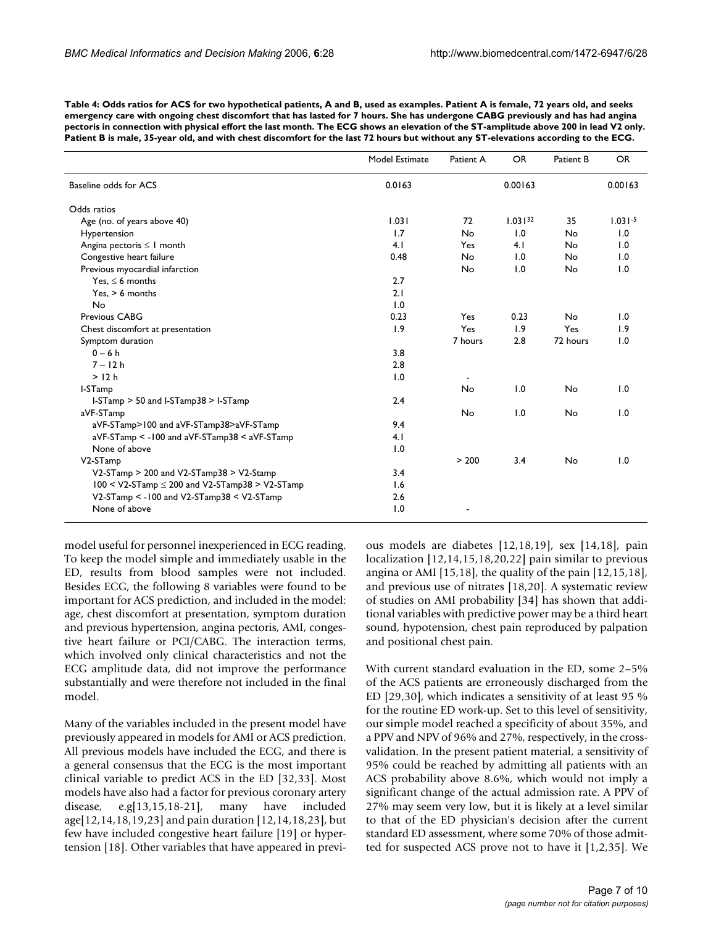|                                                       | Model Estimate | Patient A | OR.     | Patient B | <b>OR</b>        |
|-------------------------------------------------------|----------------|-----------|---------|-----------|------------------|
| Baseline odds for ACS                                 | 0.0163         |           | 0.00163 |           | 0.00163          |
| Odds ratios                                           |                |           |         |           |                  |
| Age (no. of years above 40)                           | 1.031          | 72        | 1.03132 | 35        | $1.031 - 5$      |
| Hypertension                                          | 1.7            | No        | 1.0     | No        | 1.0              |
| Angina pectoris $\leq$ 1 month                        | 4.1            | Yes       | 4.1     | No        | $\overline{1.0}$ |
| Congestive heart failure                              | 0.48           | No        | 1.0     | No        | 1.0              |
| Previous myocardial infarction                        |                | No        | 1.0     | No        | 1.0              |
| Yes, $\leq 6$ months                                  | 2.7            |           |         |           |                  |
| Yes, $> 6$ months                                     | 2.1            |           |         |           |                  |
| No                                                    | 1.0            |           |         |           |                  |
| Previous CABG                                         | 0.23           | Yes       | 0.23    | No        | 1.0              |
| Chest discomfort at presentation                      | 1.9            | Yes       | 1.9     | Yes       | 1.9              |
| Symptom duration                                      |                | 7 hours   | 2.8     | 72 hours  | 1.0              |
| $0 - 6 h$                                             | 3.8            |           |         |           |                  |
| $7 - 12h$                                             | 2.8            |           |         |           |                  |
| > 12 h                                                | 1.0            |           |         |           |                  |
| I-STamp                                               |                | No        | 1.0     | No        | 1.0              |
| I-STamp > 50 and I-STamp38 > I-STamp                  | 2.4            |           |         |           |                  |
| aVF-STamp                                             |                | <b>No</b> | 1.0     | No        | 1.0              |
| aVF-STamp>100 and aVF-STamp38>aVF-STamp               | 9.4            |           |         |           |                  |
| aVF-STamp < - 100 and aVF-STamp38 < aVF-STamp         | 4.1            |           |         |           |                  |
| None of above                                         | 1.0            |           |         |           |                  |
| V2-STamp                                              |                | > 200     | 3.4     | No        | $\overline{1.0}$ |
| V2-STamp > 200 and V2-STamp38 > V2-Stamp              | 3.4            |           |         |           |                  |
| $100 < V2-STamp \leq 200$ and $V2-STamp38 > V2-STamp$ | 1.6            |           |         |           |                  |
| V2-STamp < - 100 and V2-STamp38 < V2-STamp            | 2.6            |           |         |           |                  |
| None of above                                         | 1.0            |           |         |           |                  |
|                                                       |                |           |         |           |                  |

**Table 4: Odds ratios for ACS for two hypothetical patients, A and B, used as examples. Patient A is female, 72 years old, and seeks emergency care with ongoing chest discomfort that has lasted for 7 hours. She has undergone CABG previously and has had angina pectoris in connection with physical effort the last month. The ECG shows an elevation of the ST-amplitude above 200 in lead V2 only. Patient B is male, 35-year old, and with chest discomfort for the last 72 hours but without any ST-elevations according to the ECG.**

model useful for personnel inexperienced in ECG reading. To keep the model simple and immediately usable in the ED, results from blood samples were not included. Besides ECG, the following 8 variables were found to be important for ACS prediction, and included in the model: age, chest discomfort at presentation, symptom duration and previous hypertension, angina pectoris, AMI, congestive heart failure or PCI/CABG. The interaction terms, which involved only clinical characteristics and not the ECG amplitude data, did not improve the performance substantially and were therefore not included in the final model.

Many of the variables included in the present model have previously appeared in models for AMI or ACS prediction. All previous models have included the ECG, and there is a general consensus that the ECG is the most important clinical variable to predict ACS in the ED [32,33]. Most models have also had a factor for previous coronary artery disease, e.g[13,15,18-21], many have included age[12,14,18,19,23] and pain duration [12,14,18,23], but few have included congestive heart failure [19] or hypertension [18]. Other variables that have appeared in previous models are diabetes [12,18,19], sex [14,18], pain localization [12,14,15,18,20,22] pain similar to previous angina or AMI [15,18], the quality of the pain [12,15,18], and previous use of nitrates [18,20]. A systematic review of studies on AMI probability [34] has shown that additional variables with predictive power may be a third heart sound, hypotension, chest pain reproduced by palpation and positional chest pain.

With current standard evaluation in the ED, some 2–5% of the ACS patients are erroneously discharged from the ED [29,30], which indicates a sensitivity of at least 95 % for the routine ED work-up. Set to this level of sensitivity, our simple model reached a specificity of about 35%, and a PPV and NPV of 96% and 27%, respectively, in the crossvalidation. In the present patient material, a sensitivity of 95% could be reached by admitting all patients with an ACS probability above 8.6%, which would not imply a significant change of the actual admission rate. A PPV of 27% may seem very low, but it is likely at a level similar to that of the ED physician's decision after the current standard ED assessment, where some 70% of those admitted for suspected ACS prove not to have it [1,2,35]. We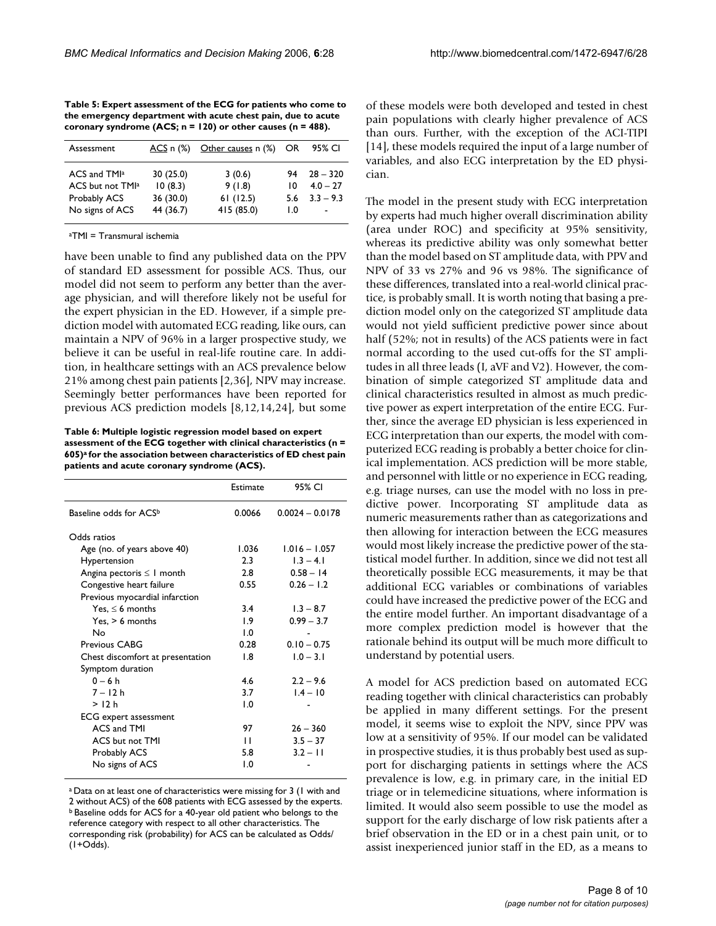**Table 5: Expert assessment of the ECG for patients who come to the emergency department with acute chest pain, due to acute coronary syndrome (ACS; n = 120) or other causes (n = 488).**

| Assessment                                                                                         | <u>ACS</u> n (%)                              | Other causes n (%)                        | OR                     | 95% CI                                  |
|----------------------------------------------------------------------------------------------------|-----------------------------------------------|-------------------------------------------|------------------------|-----------------------------------------|
| ACS and TMI <sup>a</sup><br>ACS but not TMI <sup>a</sup><br><b>Probably ACS</b><br>No signs of ACS | 30(25.0)<br>10(8.3)<br>36 (30.0)<br>44 (36.7) | 3(0.6)<br>9(1.8)<br>61(12.5)<br>415(85.0) | 94<br>١O<br>5.6<br>1.0 | $28 - 320$<br>$4.0 - 27$<br>$3.3 - 9.3$ |

aTMI = Transmural ischemia

have been unable to find any published data on the PPV of standard ED assessment for possible ACS. Thus, our model did not seem to perform any better than the average physician, and will therefore likely not be useful for the expert physician in the ED. However, if a simple prediction model with automated ECG reading, like ours, can maintain a NPV of 96% in a larger prospective study, we believe it can be useful in real-life routine care. In addition, in healthcare settings with an ACS prevalence below 21% among chest pain patients [2,36], NPV may increase. Seemingly better performances have been reported for previous ACS prediction models [8,12,14,24], but some

**Table 6: Multiple logistic regression model based on expert assessment of the ECG together with clinical characteristics (n = 605)a for the association between characteristics of ED chest pain patients and acute coronary syndrome (ACS).**

|                                  | <b>Estimate</b> | 95% CI            |
|----------------------------------|-----------------|-------------------|
| Baseline odds for ACSb           | 0.0066          | $0.0024 - 0.0178$ |
| Odds ratios                      |                 |                   |
| Age (no. of years above 40)      | 1.036           | $1.016 - 1.057$   |
| Hypertension                     | 2.3             | $1.3 - 4.1$       |
| Angina pectoris $\leq 1$ month   | 2.8             | $0.58 - 14$       |
| Congestive heart failure         | 0.55            | $0.26 - 1.2$      |
| Previous myocardial infarction   |                 |                   |
| Yes, $\leq 6$ months             | 3.4             | $1.3 - 8.7$       |
| $Yes, > 6$ months                | 1.9             | $0.99 - 3.7$      |
| Nο                               | 1.0             |                   |
| Previous CABG                    | 0.28            | $0.10 - 0.75$     |
| Chest discomfort at presentation | 1.8             | $1.0 - 3.1$       |
| Symptom duration                 |                 |                   |
| $0 - 6 h$                        | 4.6             | $2.2 - 9.6$       |
| $7 - 12h$                        | 3.7             | $1.4 - 10$        |
| >12 h                            | 1.0             |                   |
| <b>ECG</b> expert assessment     |                 |                   |
| ACS and TMI                      | 97              | $26 - 360$        |
| ACS but not TMI                  | п               | $3.5 - 37$        |
| Probably ACS                     | 5.8             | $3.2 - 11$        |
| No signs of ACS                  | 1.0             |                   |
|                                  |                 |                   |

a Data on at least one of characteristics were missing for 3 (1 with and 2 without ACS) of the 608 patients with ECG assessed by the experts. b Baseline odds for ACS for a 40-year old patient who belongs to the reference category with respect to all other characteristics. The corresponding risk (probability) for ACS can be calculated as Odds/ (1+Odds).

of these models were both developed and tested in chest pain populations with clearly higher prevalence of ACS than ours. Further, with the exception of the ACI-TIPI [14], these models required the input of a large number of variables, and also ECG interpretation by the ED physician.

The model in the present study with ECG interpretation by experts had much higher overall discrimination ability (area under ROC) and specificity at 95% sensitivity, whereas its predictive ability was only somewhat better than the model based on ST amplitude data, with PPV and NPV of 33 vs 27% and 96 vs 98%. The significance of these differences, translated into a real-world clinical practice, is probably small. It is worth noting that basing a prediction model only on the categorized ST amplitude data would not yield sufficient predictive power since about half (52%; not in results) of the ACS patients were in fact normal according to the used cut-offs for the ST amplitudes in all three leads (I, aVF and V2). However, the combination of simple categorized ST amplitude data and clinical characteristics resulted in almost as much predictive power as expert interpretation of the entire ECG. Further, since the average ED physician is less experienced in ECG interpretation than our experts, the model with computerized ECG reading is probably a better choice for clinical implementation. ACS prediction will be more stable, and personnel with little or no experience in ECG reading, e.g. triage nurses, can use the model with no loss in predictive power. Incorporating ST amplitude data as numeric measurements rather than as categorizations and then allowing for interaction between the ECG measures would most likely increase the predictive power of the statistical model further. In addition, since we did not test all theoretically possible ECG measurements, it may be that additional ECG variables or combinations of variables could have increased the predictive power of the ECG and the entire model further. An important disadvantage of a more complex prediction model is however that the rationale behind its output will be much more difficult to understand by potential users.

A model for ACS prediction based on automated ECG reading together with clinical characteristics can probably be applied in many different settings. For the present model, it seems wise to exploit the NPV, since PPV was low at a sensitivity of 95%. If our model can be validated in prospective studies, it is thus probably best used as support for discharging patients in settings where the ACS prevalence is low, e.g. in primary care, in the initial ED triage or in telemedicine situations, where information is limited. It would also seem possible to use the model as support for the early discharge of low risk patients after a brief observation in the ED or in a chest pain unit, or to assist inexperienced junior staff in the ED, as a means to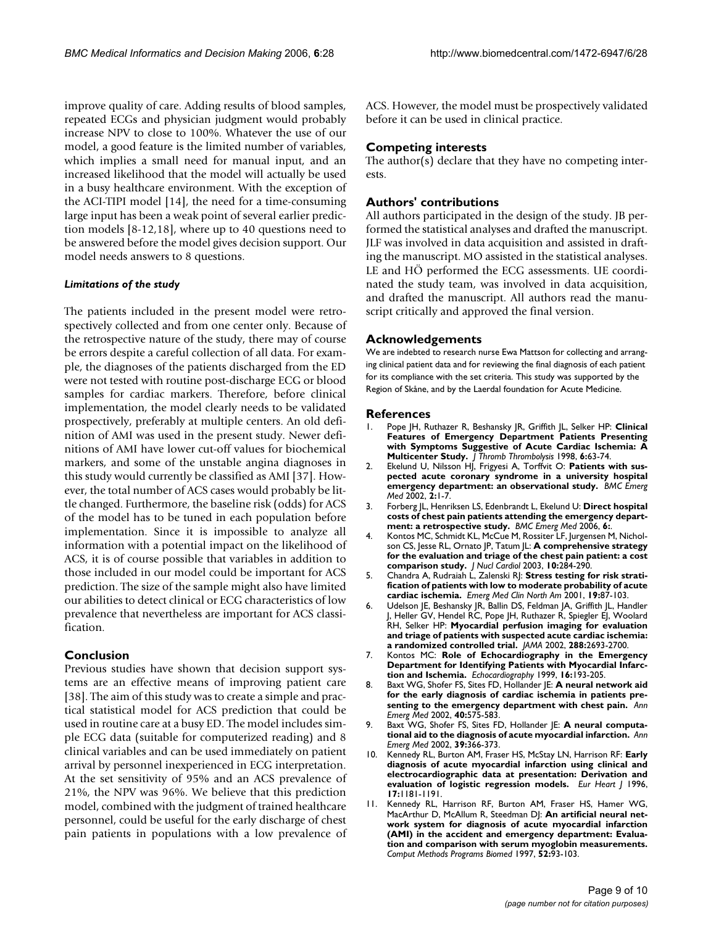improve quality of care. Adding results of blood samples, repeated ECGs and physician judgment would probably increase NPV to close to 100%. Whatever the use of our model, a good feature is the limited number of variables, which implies a small need for manual input, and an increased likelihood that the model will actually be used in a busy healthcare environment. With the exception of the ACI-TIPI model [14], the need for a time-consuming large input has been a weak point of several earlier prediction models [8-12,18], where up to 40 questions need to be answered before the model gives decision support. Our model needs answers to 8 questions.

### *Limitations of the study*

The patients included in the present model were retrospectively collected and from one center only. Because of the retrospective nature of the study, there may of course be errors despite a careful collection of all data. For example, the diagnoses of the patients discharged from the ED were not tested with routine post-discharge ECG or blood samples for cardiac markers. Therefore, before clinical implementation, the model clearly needs to be validated prospectively, preferably at multiple centers. An old definition of AMI was used in the present study. Newer definitions of AMI have lower cut-off values for biochemical markers, and some of the unstable angina diagnoses in this study would currently be classified as AMI [37]. However, the total number of ACS cases would probably be little changed. Furthermore, the baseline risk (odds) for ACS of the model has to be tuned in each population before implementation. Since it is impossible to analyze all information with a potential impact on the likelihood of ACS, it is of course possible that variables in addition to those included in our model could be important for ACS prediction. The size of the sample might also have limited our abilities to detect clinical or ECG characteristics of low prevalence that nevertheless are important for ACS classification.

# **Conclusion**

Previous studies have shown that decision support systems are an effective means of improving patient care [38]. The aim of this study was to create a simple and practical statistical model for ACS prediction that could be used in routine care at a busy ED. The model includes simple ECG data (suitable for computerized reading) and 8 clinical variables and can be used immediately on patient arrival by personnel inexperienced in ECG interpretation. At the set sensitivity of 95% and an ACS prevalence of 21%, the NPV was 96%. We believe that this prediction model, combined with the judgment of trained healthcare personnel, could be useful for the early discharge of chest pain patients in populations with a low prevalence of ACS. However, the model must be prospectively validated before it can be used in clinical practice.

#### **Competing interests**

The author(s) declare that they have no competing interests.

# **Authors' contributions**

All authors participated in the design of the study. JB performed the statistical analyses and drafted the manuscript. JLF was involved in data acquisition and assisted in drafting the manuscript. MO assisted in the statistical analyses. LE and HÖ performed the ECG assessments. UE coordinated the study team, was involved in data acquisition, and drafted the manuscript. All authors read the manuscript critically and approved the final version.

#### **Acknowledgements**

We are indebted to research nurse Ewa Mattson for collecting and arranging clinical patient data and for reviewing the final diagnosis of each patient for its compliance with the set criteria. This study was supported by the Region of Skåne, and by the Laerdal foundation for Acute Medicine.

#### **References**

- 1. Pope JH, Ruthazer R, Beshansky JR, Griffith JL, Selker HP: **[Clinical](http://www.ncbi.nlm.nih.gov/entrez/query.fcgi?cmd=Retrieve&db=PubMed&dopt=Abstract&list_uids=10751787) [Features of Emergency Department Patients Presenting](http://www.ncbi.nlm.nih.gov/entrez/query.fcgi?cmd=Retrieve&db=PubMed&dopt=Abstract&list_uids=10751787) with Symptoms Suggestive of Acute Cardiac Ischemia: A [Multicenter Study.](http://www.ncbi.nlm.nih.gov/entrez/query.fcgi?cmd=Retrieve&db=PubMed&dopt=Abstract&list_uids=10751787)** *J Thromb Thrombolysis* 1998, **6:**63-74.
- 2. Ekelund U, Nilsson HJ, Frigyesi A, Torffvit O: **[Patients with sus](http://www.ncbi.nlm.nih.gov/entrez/query.fcgi?cmd=Retrieve&db=PubMed&dopt=Abstract&list_uids=12361481)[pected acute coronary syndrome in a university hospital](http://www.ncbi.nlm.nih.gov/entrez/query.fcgi?cmd=Retrieve&db=PubMed&dopt=Abstract&list_uids=12361481) [emergency department: an observational study.](http://www.ncbi.nlm.nih.gov/entrez/query.fcgi?cmd=Retrieve&db=PubMed&dopt=Abstract&list_uids=12361481)** *BMC Emerg Med* 2002, **2:**1-7.
- 3. Forberg JL, Henriksen LS, Edenbrandt L, Ekelund U: **[Direct hospital](http://www.ncbi.nlm.nih.gov/entrez/query.fcgi?cmd=Retrieve&db=PubMed&dopt=Abstract&list_uids=16674827) [costs of chest pain patients attending the emergency depart](http://www.ncbi.nlm.nih.gov/entrez/query.fcgi?cmd=Retrieve&db=PubMed&dopt=Abstract&list_uids=16674827)[ment: a retrospective study.](http://www.ncbi.nlm.nih.gov/entrez/query.fcgi?cmd=Retrieve&db=PubMed&dopt=Abstract&list_uids=16674827)** *BMC Emerg Med* 2006, **6:**.
- Kontos MC, Schmidt KL, McCue M, Rossiter LF, Jurgensen M, Nicholson CS, Jesse RL, Ornato JP, Tatum JL: **[A comprehensive strategy](http://www.ncbi.nlm.nih.gov/entrez/query.fcgi?cmd=Retrieve&db=PubMed&dopt=Abstract&list_uids=12794627) [for the evaluation and triage of the chest pain patient: a cost](http://www.ncbi.nlm.nih.gov/entrez/query.fcgi?cmd=Retrieve&db=PubMed&dopt=Abstract&list_uids=12794627) [comparison study.](http://www.ncbi.nlm.nih.gov/entrez/query.fcgi?cmd=Retrieve&db=PubMed&dopt=Abstract&list_uids=12794627)** *J Nucl Cardiol* 2003, **10:**284-290.
- 5. Chandra A, Rudraiah L, Zalenski RJ: **[Stress testing for risk strati](http://www.ncbi.nlm.nih.gov/entrez/query.fcgi?cmd=Retrieve&db=PubMed&dopt=Abstract&list_uids=11214405)[fication of patients with low to moderate probability of acute](http://www.ncbi.nlm.nih.gov/entrez/query.fcgi?cmd=Retrieve&db=PubMed&dopt=Abstract&list_uids=11214405) [cardiac ischemia.](http://www.ncbi.nlm.nih.gov/entrez/query.fcgi?cmd=Retrieve&db=PubMed&dopt=Abstract&list_uids=11214405)** *Emerg Med Clin North Am* 2001, **19:**87-103.
- 6. Udelson JE, Beshansky JR, Ballin DS, Feldman JA, Griffith JL, Handler J, Heller GV, Hendel RC, Pope JH, Ruthazer R, Spiegler EJ, Woolard RH, Selker HP: **[Myocardial perfusion imaging for evaluation](http://www.ncbi.nlm.nih.gov/entrez/query.fcgi?cmd=Retrieve&db=PubMed&dopt=Abstract&list_uids=12460092) [and triage of patients with suspected acute cardiac ischemia:](http://www.ncbi.nlm.nih.gov/entrez/query.fcgi?cmd=Retrieve&db=PubMed&dopt=Abstract&list_uids=12460092) [a randomized controlled trial.](http://www.ncbi.nlm.nih.gov/entrez/query.fcgi?cmd=Retrieve&db=PubMed&dopt=Abstract&list_uids=12460092)** *JAMA* 2002, **288:**2693-2700.
- 7. Kontos MC: **[Role of Echocardiography in the Emergency](http://www.ncbi.nlm.nih.gov/entrez/query.fcgi?cmd=Retrieve&db=PubMed&dopt=Abstract&list_uids=11175141) [Department for Identifying Patients with Myocardial Infarc](http://www.ncbi.nlm.nih.gov/entrez/query.fcgi?cmd=Retrieve&db=PubMed&dopt=Abstract&list_uids=11175141)[tion and Ischemia.](http://www.ncbi.nlm.nih.gov/entrez/query.fcgi?cmd=Retrieve&db=PubMed&dopt=Abstract&list_uids=11175141)** *Echocardiography* 1999, **16:**193-205.
- 8. Baxt WG, Shofer FS, Sites FD, Hollander JE: **[A neural network aid](http://www.ncbi.nlm.nih.gov/entrez/query.fcgi?cmd=Retrieve&db=PubMed&dopt=Abstract&list_uids=12447333) [for the early diagnosis of cardiac ischemia in patients pre](http://www.ncbi.nlm.nih.gov/entrez/query.fcgi?cmd=Retrieve&db=PubMed&dopt=Abstract&list_uids=12447333)[senting to the emergency department with chest pain.](http://www.ncbi.nlm.nih.gov/entrez/query.fcgi?cmd=Retrieve&db=PubMed&dopt=Abstract&list_uids=12447333)** *Ann Emerg Med* 2002, **40:**575-583.
- Baxt WG, Shofer FS, Sites FD, Hollander JE: [A neural computa](http://www.ncbi.nlm.nih.gov/entrez/query.fcgi?cmd=Retrieve&db=PubMed&dopt=Abstract&list_uids=11919522)**[tional aid to the diagnosis of acute myocardial infarction.](http://www.ncbi.nlm.nih.gov/entrez/query.fcgi?cmd=Retrieve&db=PubMed&dopt=Abstract&list_uids=11919522)** *Ann Emerg Med* 2002, **39:**366-373.
- 10. Kennedy RL, Burton AM, Fraser HS, McStay LN, Harrison RF: **[Early](http://www.ncbi.nlm.nih.gov/entrez/query.fcgi?cmd=Retrieve&db=PubMed&dopt=Abstract&list_uids=8869859) [diagnosis of acute myocardial infarction using clinical and](http://www.ncbi.nlm.nih.gov/entrez/query.fcgi?cmd=Retrieve&db=PubMed&dopt=Abstract&list_uids=8869859) electrocardiographic data at presentation: Derivation and [evaluation of logistic regression models.](http://www.ncbi.nlm.nih.gov/entrez/query.fcgi?cmd=Retrieve&db=PubMed&dopt=Abstract&list_uids=8869859)** *Eur Heart J* 1996, **17:**1181-1191.
- 11. Kennedy RL, Harrison RF, Burton AM, Fraser HS, Hamer WG, MacArthur D, McAllum R, Steedman DJ: **[An artificial neural net](http://www.ncbi.nlm.nih.gov/entrez/query.fcgi?cmd=Retrieve&db=PubMed&dopt=Abstract&list_uids=9034674)[work system for diagnosis of acute myocardial infarction](http://www.ncbi.nlm.nih.gov/entrez/query.fcgi?cmd=Retrieve&db=PubMed&dopt=Abstract&list_uids=9034674) (AMI) in the accident and emergency department: Evaluation and comparison with serum myoglobin measurements.** *Comput Methods Programs Biomed* 1997, **52:**93-103.